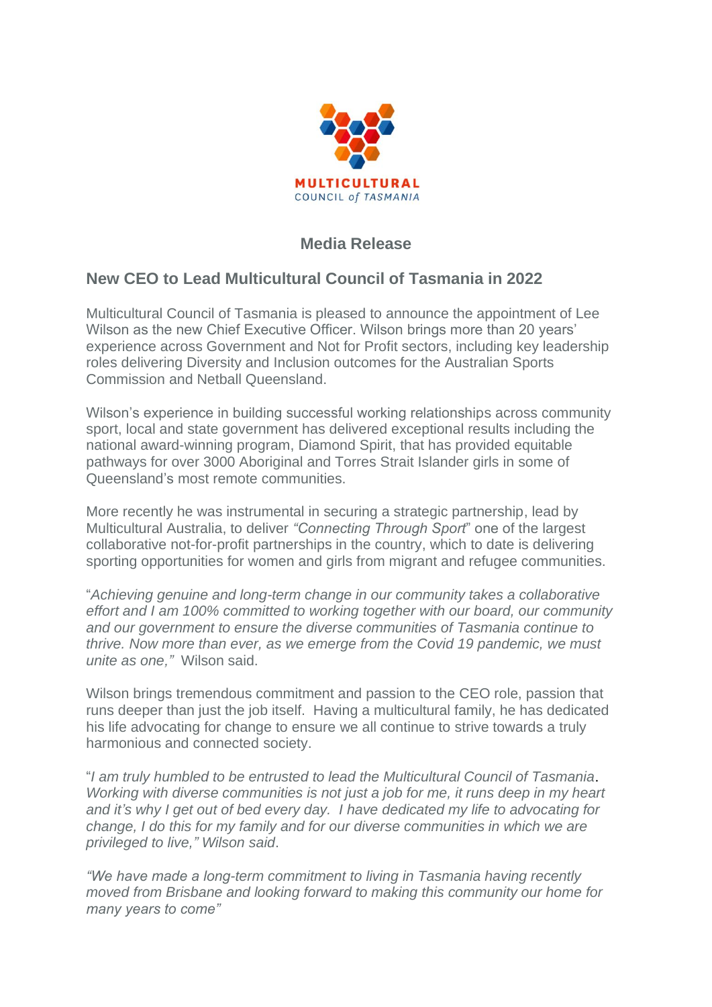

## **Media Release**

## **New CEO to Lead Multicultural Council of Tasmania in 2022**

Multicultural Council of Tasmania is pleased to announce the appointment of Lee Wilson as the new Chief Executive Officer. Wilson brings more than 20 years' experience across Government and Not for Profit sectors, including key leadership roles delivering Diversity and Inclusion outcomes for the Australian Sports Commission and Netball Queensland.

Wilson's experience in building successful working relationships across community sport, local and state government has delivered exceptional results including the national award-winning program, Diamond Spirit, that has provided equitable pathways for over 3000 Aboriginal and Torres Strait Islander girls in some of Queensland's most remote communities.

More recently he was instrumental in securing a strategic partnership, lead by Multicultural Australia, to deliver *"Connecting Through Sport*" one of the largest collaborative not-for-profit partnerships in the country, which to date is delivering sporting opportunities for women and girls from migrant and refugee communities.

"*Achieving genuine and long-term change in our community takes a collaborative effort and I am 100% committed to working together with our board, our community and our government to ensure the diverse communities of Tasmania continue to thrive. Now more than ever, as we emerge from the Covid 19 pandemic, we must unite as one,"* Wilson said.

Wilson brings tremendous commitment and passion to the CEO role, passion that runs deeper than just the job itself. Having a multicultural family, he has dedicated his life advocating for change to ensure we all continue to strive towards a truly harmonious and connected society.

"*I am truly humbled to be entrusted to lead the Multicultural Council of Tasmania*. *Working with diverse communities is not just a job for me, it runs deep in my heart and it's why I get out of bed every day. I have dedicated my life to advocating for change, I do this for my family and for our diverse communities in which we are privileged to live," Wilson said*.

*"We have made a long-term commitment to living in Tasmania having recently moved from Brisbane and looking forward to making this community our home for many years to come"*